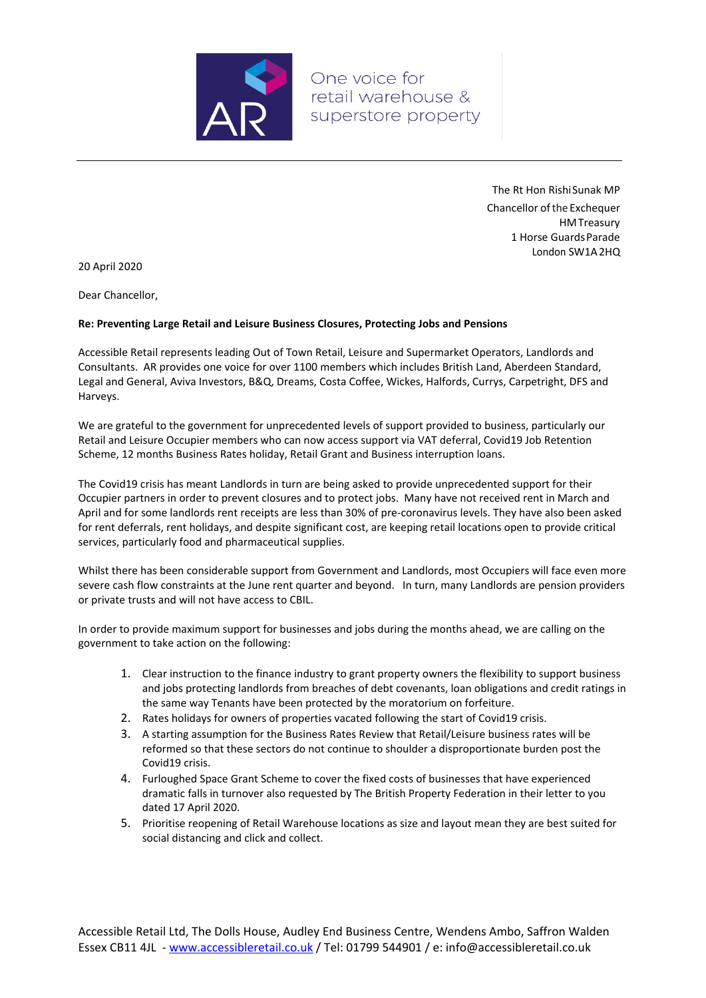

One voice for retail warehouse & superstore property

> The Rt Hon RishiSunak MP Chancellor ofthe Exchequer HMTreasury 1 Horse GuardsParade London SW1A2HQ

20 April 2020

Dear Chancellor,

## **Re: Preventing Large Retail and Leisure Business Closures, Protecting Jobs and Pensions**

Accessible Retail represents leading Out of Town Retail, Leisure and Supermarket Operators, Landlords and Consultants. AR provides one voice for over 1100 members which includes British Land, Aberdeen Standard, Legal and General, Aviva Investors, B&Q, Dreams, Costa Coffee, Wickes, Halfords, Currys, Carpetright, DFS and Harveys.

We are grateful to the government for unprecedented levels of support provided to business, particularly our Retail and Leisure Occupier members who can now access support via VAT deferral, Covid19 Job Retention Scheme, 12 months Business Rates holiday, Retail Grant and Business interruption loans.

The Covid19 crisis has meant Landlords in turn are being asked to provide unprecedented support for their Occupier partners in order to prevent closures and to protect jobs. Many have not received rent in March and April and for some landlords rent receipts are less than 30% of pre‐coronavirus levels. They have also been asked for rent deferrals, rent holidays, and despite significant cost, are keeping retail locations open to provide critical services, particularly food and pharmaceutical supplies.

Whilst there has been considerable support from Government and Landlords, most Occupiers will face even more severe cash flow constraints at the June rent quarter and beyond. In turn, many Landlords are pension providers or private trusts and will not have access to CBIL.

In order to provide maximum support for businesses and jobs during the months ahead, we are calling on the government to take action on the following:

- 1. Clear instruction to the finance industry to grant property owners the flexibility to support business and jobs protecting landlords from breaches of debt covenants, loan obligations and credit ratings in the same way Tenants have been protected by the moratorium on forfeiture.
- 2. Rates holidays for owners of properties vacated following the start of Covid19 crisis.
- 3. A starting assumption for the Business Rates Review that Retail/Leisure business rates will be reformed so that these sectors do not continue to shoulder a disproportionate burden post the Covid19 crisis.
- 4. Furloughed Space Grant Scheme to cover the fixed costs of businesses that have experienced dramatic falls in turnover also requested by The British Property Federation in their letter to you dated 17 April 2020.
- 5. Prioritise reopening of Retail Warehouse locations as size and layout mean they are best suited for social distancing and click and collect.